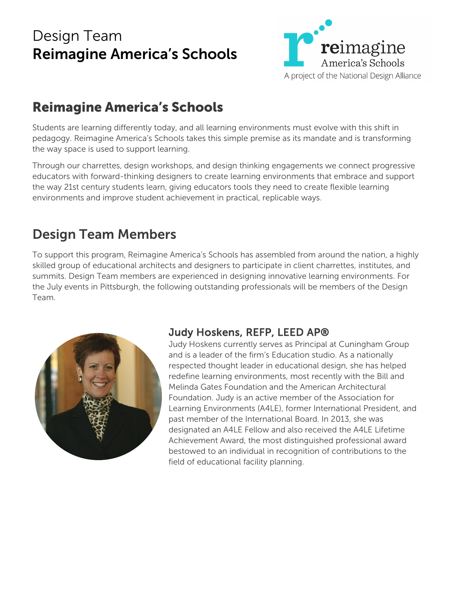## Design Team Reimagine America's Schools



## Reimagine America's Schools

Students are learning differently today, and all learning environments must evolve with this shift in pedagogy. Reimagine America's Schools takes this simple premise as its mandate and is transforming the way space is used to support learning.

Through our charrettes, design workshops, and design thinking engagements we connect progressive educators with forward-thinking designers to create learning environments that embrace and support the way 21st century students learn, giving educators tools they need to create flexible learning environments and improve student achievement in practical, replicable ways.

## Design Team Members

To support this program, Reimagine America's Schools has assembled from around the nation, a highly skilled group of educational architects and designers to participate in client charrettes, institutes, and summits. Design Team members are experienced in designing innovative learning environments. For the July events in Pittsburgh, the following outstanding professionals will be members of the Design Team.



### Judy Hoskens, REFP, LEED AP®

Judy Hoskens currently serves as Principal at Cuningham Group and is a leader of the firm's Education studio. As a nationally respected thought leader in educational design, she has helped redefine learning environments, most recently with the Bill and Melinda Gates Foundation and the American Architectural Foundation. Judy is an active member of the Association for Learning Environments (A4LE), former International President, and past member of the International Board. In 2013, she was designated an A4LE Fellow and also received the A4LE Lifetime Achievement Award, the most distinguished professional award bestowed to an individual in recognition of contributions to the field of educational facility planning.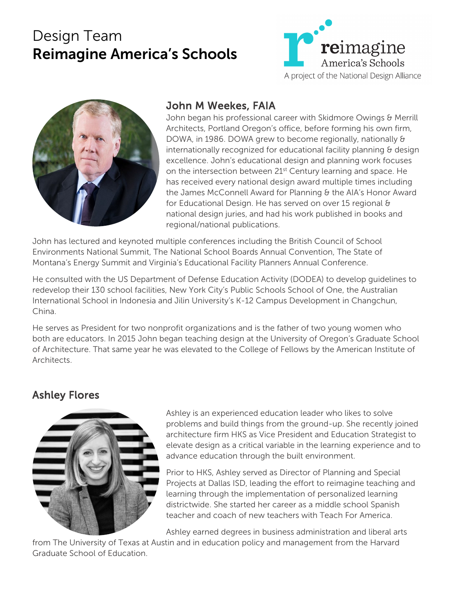# Design Team Reimagine America's Schools





#### John M Weekes, FAIA

John began his professional career with Skidmore Owings & Merrill Architects, Portland Oregon's office, before forming his own firm, DOWA, in 1986. DOWA grew to become regionally, nationally & internationally recognized for educational facility planning & design excellence. John's educational design and planning work focuses on the intersection between 21<sup>st</sup> Century learning and space. He has received every national design award multiple times including the James McConnell Award for Planning & the AIA's Honor Award for Educational Design. He has served on over 15 regional & national design juries, and had his work published in books and regional/national publications.

John has lectured and keynoted multiple conferences including the British Council of School Environments National Summit, The National School Boards Annual Convention, The State of Montana's Energy Summit and Virginia's Educational Facility Planners Annual Conference.

He consulted with the US Department of Defense Education Activity (DODEA) to develop guidelines to redevelop their 130 school facilities, New York City's Public Schools School of One, the Australian International School in Indonesia and Jilin University's K-12 Campus Development in Changchun, China.

He serves as President for two nonprofit organizations and is the father of two young women who both are educators. In 2015 John began teaching design at the University of Oregon's Graduate School of Architecture. That same year he was elevated to the College of Fellows by the American Institute of Architects.

### Ashley Flores



Ashley is an experienced education leader who likes to solve problems and build things from the ground-up. She recently joined architecture firm HKS as Vice President and Education Strategist to elevate design as a critical variable in the learning experience and to advance education through the built environment.

Prior to HKS, Ashley served as Director of Planning and Special Projects at Dallas ISD, leading the effort to reimagine teaching and learning through the implementation of personalized learning districtwide. She started her career as a middle school Spanish teacher and coach of new teachers with Teach For America.

Ashley earned degrees in business administration and liberal arts

from The University of Texas at Austin and in education policy and management from the Harvard Graduate School of Education.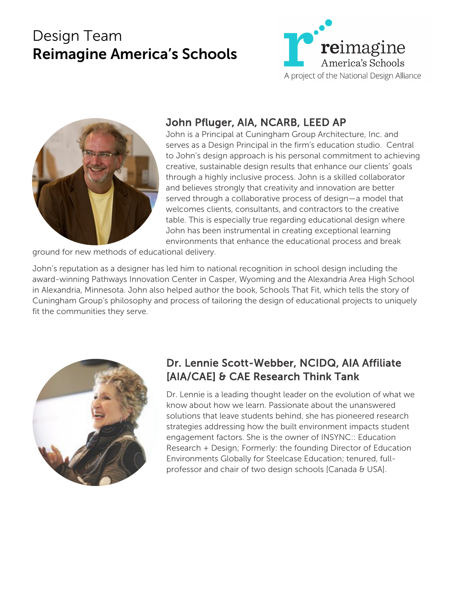# Design Team Reimagine America's Schools





## John Pfluger, AIA, NCARB, LEED AP

John is a Principal at Cuningham Group Architecture, Inc. and serves as a Design Principal in the firm's education studio. Central to John's design approach is his personal commitment to achieving creative, sustainable design results that enhance our clients' goals through a highly inclusive process. John is a skilled collaborator and believes strongly that creativity and innovation are better served through a collaborative process of design—a model that welcomes clients, consultants, and contractors to the creative table. This is especially true regarding educational design where John has been instrumental in creating exceptional learning environments that enhance the educational process and break

ground for new methods of educational delivery.

John's reputation as a designer has led him to national recognition in school design including the award-winning Pathways Innovation Center in Casper, Wyoming and the Alexandria Area High School in Alexandria, Minnesota. John also helped author the book, Schools That Fit, which tells the story of Cuningham Group's philosophy and process of tailoring the design of educational projects to uniquely fit the communities they serve.



### Dr. Lennie Scott-Webber, NCIDQ, AIA Affiliate [AIA/CAE] & CAE Research Think Tank

Dr. Lennie is a leading thought leader on the evolution of what we know about how we learn. Passionate about the unanswered solutions that leave students behind, she has pioneered research strategies addressing how the built environment impacts student engagement factors. She is the owner of INSYNC:: Education Research + Design; Formerly: the founding Director of Education Environments Globally for Steelcase Education; tenured, fullprofessor and chair of two design schools [Canada & USA].